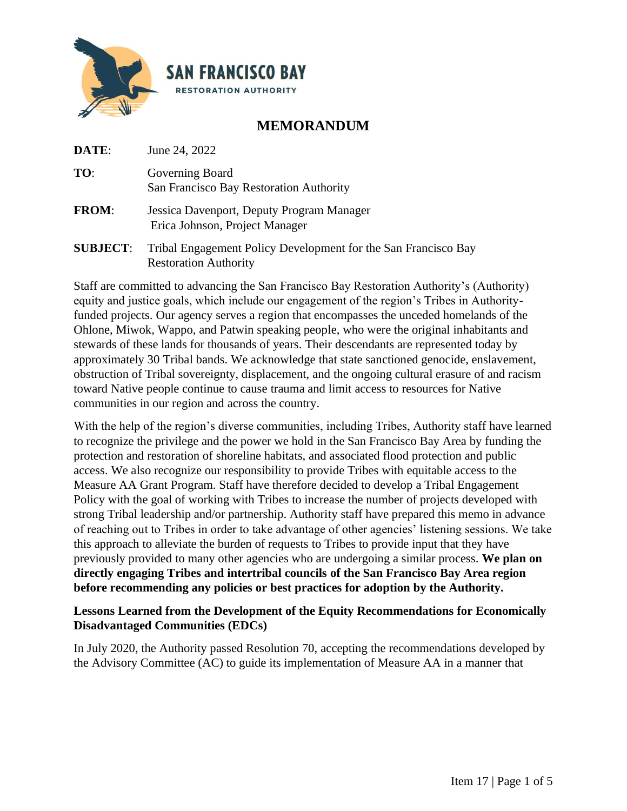

# **MEMORANDUM**

**DATE**: June 24, 2022

| TO:          | Governing Board<br>San Francisco Bay Restoration Authority                                             |
|--------------|--------------------------------------------------------------------------------------------------------|
| <b>FROM:</b> | Jessica Davenport, Deputy Program Manager<br>Erica Johnson, Project Manager                            |
|              | $\mathbf{r}$ $\mathbf{r}$ $\mathbf{r}$ $\mathbf{r}$ $\mathbf{r}$<br>$\sim$ $\sim$ $\sim$ $\sim$ $\sim$ |

**SUBJECT**: Tribal Engagement Policy Development for the San Francisco Bay Restoration Authority

Staff are committed to advancing the San Francisco Bay Restoration Authority's (Authority) equity and justice goals, which include our engagement of the region's Tribes in Authorityfunded projects. Our agency serves a region that encompasses the unceded homelands of the Ohlone, Miwok, Wappo, and Patwin speaking people, who were the original inhabitants and stewards of these lands for thousands of years. Their descendants are represented today by approximately 30 Tribal bands. We acknowledge that state sanctioned genocide, enslavement, obstruction of Tribal sovereignty, displacement, and the ongoing cultural erasure of and racism toward Native people continue to cause trauma and limit access to resources for Native communities in our region and across the country.

With the help of the region's diverse communities, including Tribes, Authority staff have learned to recognize the privilege and the power we hold in the San Francisco Bay Area by funding the protection and restoration of shoreline habitats, and associated flood protection and public access. We also recognize our responsibility to provide Tribes with equitable access to the Measure AA Grant Program. Staff have therefore decided to develop a Tribal Engagement Policy with the goal of working with Tribes to increase the number of projects developed with strong Tribal leadership and/or partnership. Authority staff have prepared this memo in advance of reaching out to Tribes in order to take advantage of other agencies' listening sessions. We take this approach to alleviate the burden of requests to Tribes to provide input that they have previously provided to many other agencies who are undergoing a similar process. **We plan on directly engaging Tribes and intertribal councils of the San Francisco Bay Area region before recommending any policies or best practices for adoption by the Authority.**

## **Lessons Learned from the Development of the Equity Recommendations for Economically Disadvantaged Communities (EDCs)**

In July 2020, the Authority passed Resolution 70, accepting the recommendations developed by the Advisory Committee (AC) to guide its implementation of Measure AA in a manner that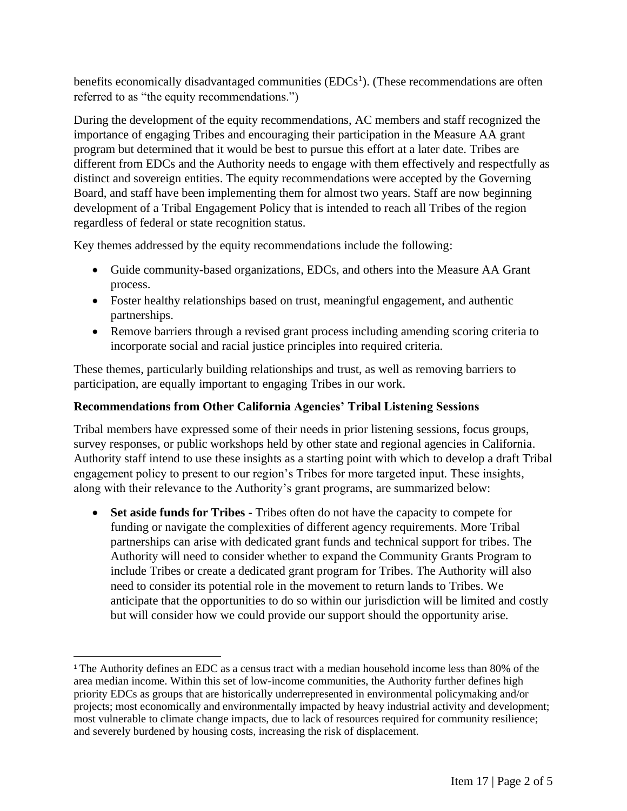benefits economically disadvantaged communities  $(EDCs<sup>1</sup>)$ . (These recommendations are often referred to as "the equity recommendations.")

During the development of the equity recommendations, AC members and staff recognized the importance of engaging Tribes and encouraging their participation in the Measure AA grant program but determined that it would be best to pursue this effort at a later date. Tribes are different from EDCs and the Authority needs to engage with them effectively and respectfully as distinct and sovereign entities. The equity recommendations were accepted by the Governing Board, and staff have been implementing them for almost two years. Staff are now beginning development of a Tribal Engagement Policy that is intended to reach all Tribes of the region regardless of federal or state recognition status.

Key themes addressed by the equity recommendations include the following:

- Guide community-based organizations, EDCs, and others into the Measure AA Grant process.
- Foster healthy relationships based on trust, meaningful engagement, and authentic partnerships.
- Remove barriers through a revised grant process including amending scoring criteria to incorporate social and racial justice principles into required criteria.

These themes, particularly building relationships and trust, as well as removing barriers to participation, are equally important to engaging Tribes in our work.

# **Recommendations from Other California Agencies' Tribal Listening Sessions**

Tribal members have expressed some of their needs in prior listening sessions, focus groups, survey responses, or public workshops held by other state and regional agencies in California. Authority staff intend to use these insights as a starting point with which to develop a draft Tribal engagement policy to present to our region's Tribes for more targeted input. These insights, along with their relevance to the Authority's grant programs, are summarized below:

• **Set aside funds for Tribes -** Tribes often do not have the capacity to compete for funding or navigate the complexities of different agency requirements. More Tribal partnerships can arise with dedicated grant funds and technical support for tribes. The Authority will need to consider whether to expand the Community Grants Program to include Tribes or create a dedicated grant program for Tribes. The Authority will also need to consider its potential role in the movement to return lands to Tribes. We anticipate that the opportunities to do so within our jurisdiction will be limited and costly but will consider how we could provide our support should the opportunity arise.

<sup>&</sup>lt;sup>1</sup> The Authority defines an EDC as a census tract with a median household income less than 80% of the area median income. Within this set of low-income communities, the Authority further defines high priority EDCs as groups that are historically underrepresented in environmental policymaking and/or projects; most economically and environmentally impacted by heavy industrial activity and development; most vulnerable to climate change impacts, due to lack of resources required for community resilience; and severely burdened by housing costs, increasing the risk of displacement.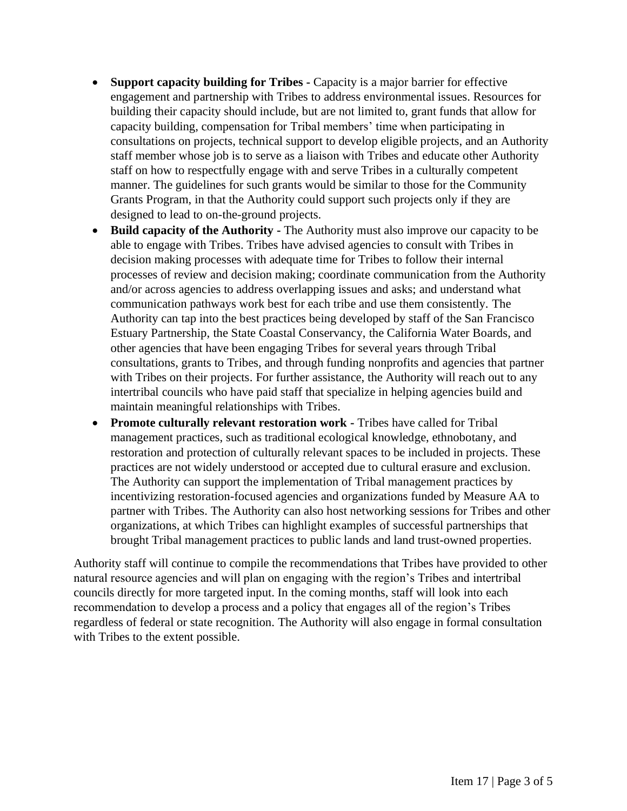- **Support capacity building for Tribes -** Capacity is a major barrier for effective engagement and partnership with Tribes to address environmental issues. Resources for building their capacity should include, but are not limited to, grant funds that allow for capacity building, compensation for Tribal members' time when participating in consultations on projects, technical support to develop eligible projects, and an Authority staff member whose job is to serve as a liaison with Tribes and educate other Authority staff on how to respectfully engage with and serve Tribes in a culturally competent manner. The guidelines for such grants would be similar to those for the Community Grants Program, in that the Authority could support such projects only if they are designed to lead to on-the-ground projects.
- **Build capacity of the Authority -** The Authority must also improve our capacity to be able to engage with Tribes. Tribes have advised agencies to consult with Tribes in decision making processes with adequate time for Tribes to follow their internal processes of review and decision making; coordinate communication from the Authority and/or across agencies to address overlapping issues and asks; and understand what communication pathways work best for each tribe and use them consistently. The Authority can tap into the best practices being developed by staff of the San Francisco Estuary Partnership, the State Coastal Conservancy, the California Water Boards, and other agencies that have been engaging Tribes for several years through Tribal consultations, grants to Tribes, and through funding nonprofits and agencies that partner with Tribes on their projects. For further assistance, the Authority will reach out to any intertribal councils who have paid staff that specialize in helping agencies build and maintain meaningful relationships with Tribes.
- **Promote culturally relevant restoration work -** Tribes have called for Tribal management practices, such as traditional ecological knowledge, ethnobotany, and restoration and protection of culturally relevant spaces to be included in projects. These practices are not widely understood or accepted due to cultural erasure and exclusion. The Authority can support the implementation of Tribal management practices by incentivizing restoration-focused agencies and organizations funded by Measure AA to partner with Tribes. The Authority can also host networking sessions for Tribes and other organizations, at which Tribes can highlight examples of successful partnerships that brought Tribal management practices to public lands and land trust-owned properties.

Authority staff will continue to compile the recommendations that Tribes have provided to other natural resource agencies and will plan on engaging with the region's Tribes and intertribal councils directly for more targeted input. In the coming months, staff will look into each recommendation to develop a process and a policy that engages all of the region's Tribes regardless of federal or state recognition. The Authority will also engage in formal consultation with Tribes to the extent possible.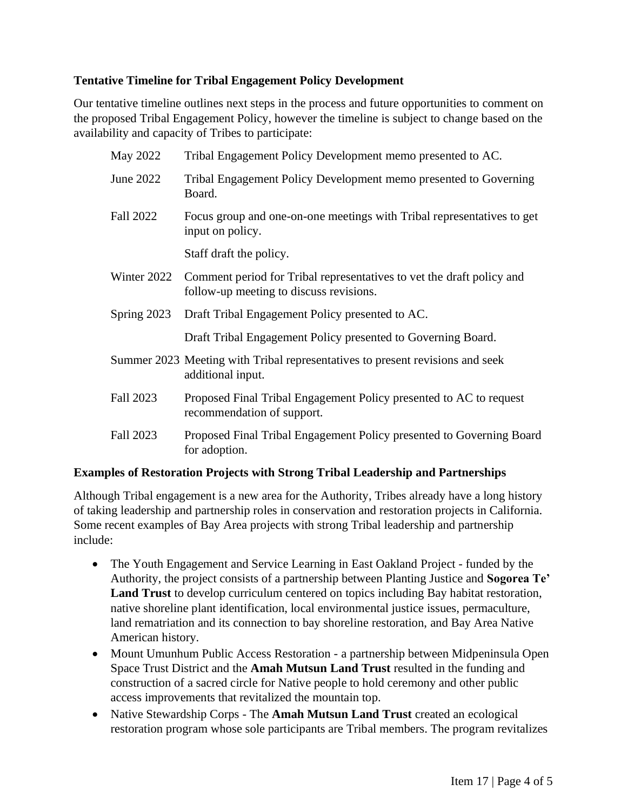## **Tentative Timeline for Tribal Engagement Policy Development**

Our tentative timeline outlines next steps in the process and future opportunities to comment on the proposed Tribal Engagement Policy, however the timeline is subject to change based on the availability and capacity of Tribes to participate:

| May 2022         | Tribal Engagement Policy Development memo presented to AC.                                                       |
|------------------|------------------------------------------------------------------------------------------------------------------|
| June 2022        | Tribal Engagement Policy Development memo presented to Governing<br>Board.                                       |
| <b>Fall 2022</b> | Focus group and one-on-one meetings with Tribal representatives to get<br>input on policy.                       |
|                  | Staff draft the policy.                                                                                          |
| Winter 2022      | Comment period for Tribal representatives to vet the draft policy and<br>follow-up meeting to discuss revisions. |
| Spring 2023      | Draft Tribal Engagement Policy presented to AC.                                                                  |
|                  | Draft Tribal Engagement Policy presented to Governing Board.                                                     |
|                  | Summer 2023 Meeting with Tribal representatives to present revisions and seek<br>additional input.               |
| Fall 2023        | Proposed Final Tribal Engagement Policy presented to AC to request<br>recommendation of support.                 |
| Fall 2023        | Proposed Final Tribal Engagement Policy presented to Governing Board<br>for adoption.                            |

## **Examples of Restoration Projects with Strong Tribal Leadership and Partnerships**

Although Tribal engagement is a new area for the Authority, Tribes already have a long history of taking leadership and partnership roles in conservation and restoration projects in California. Some recent examples of Bay Area projects with strong Tribal leadership and partnership include:

- The Youth Engagement and Service Learning in East Oakland Project funded by the Authority, the project consists of a partnership between Planting Justice and **Sogorea Te' Land Trust** to develop curriculum centered on topics including Bay habitat restoration, native shoreline plant identification, local environmental justice issues, permaculture, land rematriation and its connection to bay shoreline restoration, and Bay Area Native American history.
- Mount Umunhum Public Access Restoration a partnership between Midpeninsula Open Space Trust District and the **Amah Mutsun Land Trust** resulted in the funding and construction of a sacred circle for Native people to hold ceremony and other public access improvements that revitalized the mountain top.
- Native Stewardship Corps The **Amah Mutsun Land Trust** created an ecological restoration program whose sole participants are Tribal members. The program revitalizes